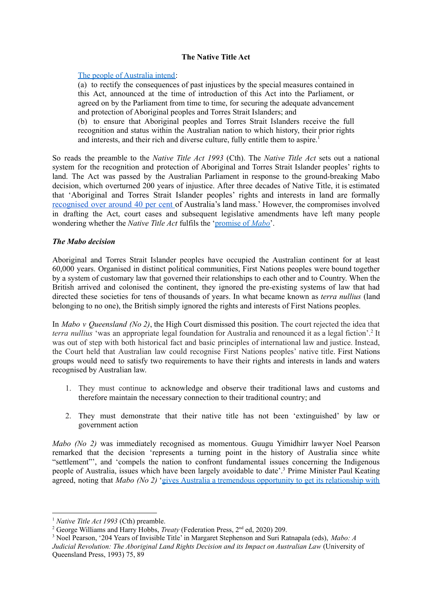# **The Native Title Act**

# The people of [Australia](http://www5.austlii.edu.au/au/legis/cth/consol_act/nta1993147/preamble.html) intend:

(a) to rectify the consequences of past injustices by the special measures contained in this Act, announced at the time of introduction of this Act into the Parliament, or agreed on by the Parliament from time to time, for securing the adequate advancement and protection of Aboriginal peoples and Torres Strait Islanders; and

(b) to ensure that Aboriginal peoples and Torres Strait Islanders receive the full recognition and status within the Australian nation to which history, their prior rights and interests, and their rich and diverse culture, fully entitle them to aspire. 1

So reads the preamble to the *Native Title Act 1993* (Cth). The *Native Title Act* sets out a national system for the recognition and protection of Aboriginal and Torres Strait Islander peoples' rights to land. The Act was passed by the Australian Parliament in response to the ground-breaking Mabo decision, which overturned 200 years of injustice. After three decades of Native Title, it is estimated that 'Aboriginal and Torres Strait Islander peoples' rights and interests in land are formally [recognised](https://www.niaa.gov.au/indigenous-affairs/land-and-housing#:~:text=Aboriginal%20and%20Torres%20Strait%20Islander%20peoples) over around 40 per cent of Australia's land mass.' However, the compromises involved in drafting the Act, court cases and subsequent legislative amendments have left many people wondering whether the *Native Title Act* fulfils the ['promise](https://humanrights.gov.au/about/news/media-releases/promise-mabo-yet-be-realised-2012-media-release) of *Mabo*'.

# *The Mabo decision*

Aboriginal and Torres Strait Islander peoples have occupied the Australian continent for at least 60,000 years. Organised in distinct political communities, First Nations peoples were bound together by a system of customary law that governed their relationships to each other and to Country. When the British arrived and colonised the continent, they ignored the pre-existing systems of law that had directed these societies for tens of thousands of years. In what became known as *terra nullius* (land belonging to no one), the British simply ignored the rights and interests of First Nations peoples.

In *Mabo v Queensland (No 2)*, the High Court dismissed this position. The court rejected the idea that *terra nullius* 'was an appropriate legal foundation for Australia and renounced it as a legal fiction'. 2 It was out of step with both historical fact and basic principles of international law and justice. Instead, the Court held that Australian law could recognise First Nations peoples' native title. First Nations groups would need to satisfy two requirements to have their rights and interests in lands and waters recognised by Australian law.

- 1. They must continue to acknowledge and observe their traditional laws and customs and therefore maintain the necessary connection to their traditional country; and
- 2. They must demonstrate that their native title has not been 'extinguished' by law or government action

*Mabo (No 2)* was immediately recognised as momentous. Guugu Yimidhirr lawyer Noel Pearson remarked that the decision 'represents a turning point in the history of Australia since white "settlement"', and 'compels the nation to confront fundamental issues concerning the Indigenous people of Australia, issues which have been largely avoidable to date'. <sup>3</sup> Prime Minister Paul Keating agreed, noting that *Mabo (No 2)* 'gives Australia a tremendous opportunity to get its [relationship](http://pmtranscripts.dpmc.gov.au/release/transcript-8895) with

<sup>1</sup> *Native Title Act 1993* (Cth) preamble.

<sup>&</sup>lt;sup>2</sup> George Williams and Harry Hobbs, *Treaty* (Federation Press, 2<sup>nd</sup> ed, 2020) 209.

<sup>3</sup> Noel Pearson, '204 Years of Invisible Title' in Margaret Stephenson and Suri Ratnapala (eds), *Mabo: A Judicial Revolution: The Aboriginal Land Rights Decision and its Impact on Australian Law* (University of Queensland Press, 1993) 75, 89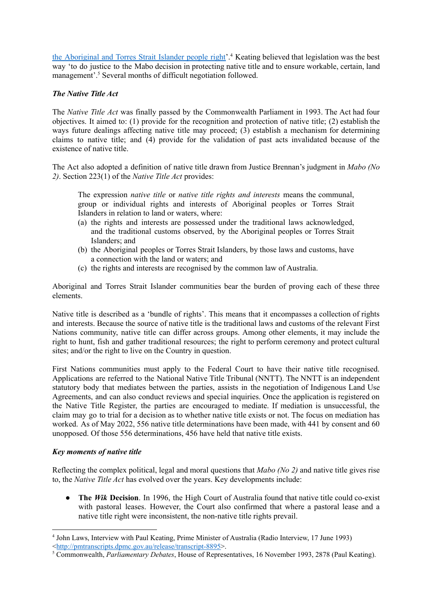the [Aboriginal](http://pmtranscripts.dpmc.gov.au/release/transcript-8895) and Torres Strait Islander people right'.<sup>4</sup> Keating believed that legislation was the best way 'to do justice to the Mabo decision in protecting native title and to ensure workable, certain, land management'. <sup>5</sup> Several months of difficult negotiation followed.

# *The Native Title Act*

The *Native Title Act* was finally passed by the Commonwealth Parliament in 1993. The Act had four objectives. It aimed to: (1) provide for the recognition and protection of native title; (2) establish the ways future dealings affecting native title may proceed; (3) establish a mechanism for determining claims to native title; and (4) provide for the validation of past acts invalidated because of the existence of native title.

The Act also adopted a definition of native title drawn from Justice Brennan's judgment in *Mabo (No 2)*. Section 223(1) of the *Native Title Act* provides:

The expression *native title* or *native title rights and interests* means the communal, group or individual rights and interests of Aboriginal peoples or Torres Strait Islanders in relation to land or waters, where:

- (a) the rights and interests are possessed under the traditional laws acknowledged, and the traditional customs observed, by the Aboriginal peoples or Torres Strait Islanders; and
- (b) the Aboriginal peoples or Torres Strait Islanders, by those laws and customs, have a connection with the land or waters; and
- (c) the rights and interests are recognised by the common law of Australia.

Aboriginal and Torres Strait Islander communities bear the burden of proving each of these three elements.

Native title is described as a 'bundle of rights'. This means that it encompasses a collection of rights and interests. Because the source of native title is the traditional laws and customs of the relevant First Nations community, native title can differ across groups. Among other elements, it may include the right to hunt, fish and gather traditional resources; the right to perform ceremony and protect cultural sites; and/or the right to live on the Country in question.

First Nations communities must apply to the Federal Court to have their native title recognised. Applications are referred to the National Native Title Tribunal (NNTT). The NNTT is an independent statutory body that mediates between the parties, assists in the negotiation of Indigenous Land Use Agreements, and can also conduct reviews and special inquiries. Once the application is registered on the Native Title Register, the parties are encouraged to mediate. If mediation is unsuccessful, the claim may go to trial for a decision as to whether native title exists or not. The focus on mediation has worked. As of May 2022, 556 native title determinations have been made, with 441 by consent and 60 unopposed. Of those 556 determinations, 456 have held that native title exists.

### *Key moments of native title*

Reflecting the complex political, legal and moral questions that *Mabo (No 2)* and native title gives rise to, the *Native Title Act* has evolved over the years. Key developments include:

● **The** *Wik* **Decision**. In 1996, the High Court of Australia found that native title could co-exist with pastoral leases. However, the Court also confirmed that where a pastoral lease and a native title right were inconsistent, the non-native title rights prevail.

<sup>4</sup> John Laws, Interview with Paul Keating, Prime Minister of Australia (Radio Interview, 17 June 1993) <[http://pmtranscripts.dpmc.gov.au/release/transcript-8895>](http://pmtranscripts.dpmc.gov.au/release/transcript-8895).

<sup>5</sup> Commonwealth, *Parliamentary Debates*, House of Representatives, 16 November 1993, 2878 (Paul Keating).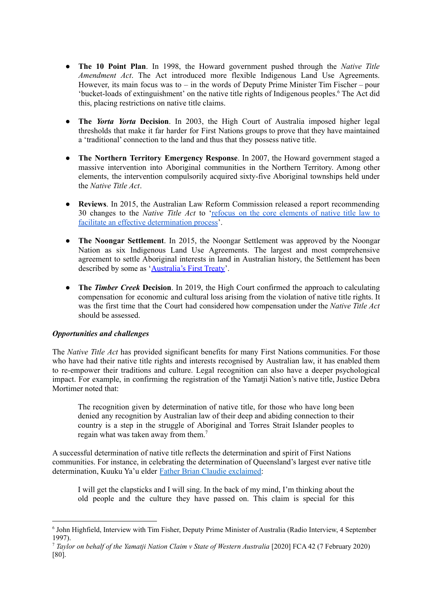- **The 10 Point Plan**. In 1998, the Howard government pushed through the *Native Title Amendment Act*. The Act introduced more flexible Indigenous Land Use Agreements. However, its main focus was to  $-$  in the words of Deputy Prime Minister Tim Fischer  $-$  pour 'bucket-loads of extinguishment' on the native title rights of Indigenous peoples. <sup>6</sup> The Act did this, placing restrictions on native title claims.
- **The** *Yorta Yorta* **Decision**. In 2003, the High Court of Australia imposed higher legal thresholds that make it far harder for First Nations groups to prove that they have maintained a 'traditional' connection to the land and thus that they possess native title.
- **● The Northern Territory Emergency Response**. In 2007, the Howard government staged a massive intervention into Aboriginal communities in the Northern Territory. Among other elements, the intervention compulsorily acquired sixty-five Aboriginal townships held under the *Native Title Act*.
- **● Reviews**. In 2015, the Australian Law Reform Commission released a report recommending 30 changes to the *Native Title Act* to 'refocus on the core [elements](https://www.alrc.gov.au/publication/connection-to-country-review-of-the-native-title-act-1993-cth-alrc-report-126/executive-summary-13/summary-of-recommendations-3/) of native title law to facilitate an effective [determination](https://www.alrc.gov.au/publication/connection-to-country-review-of-the-native-title-act-1993-cth-alrc-report-126/executive-summary-13/summary-of-recommendations-3/) process'.
- **● The Noongar Settlement**. In 2015, the Noongar Settlement was approved by the Noongar Nation as six Indigenous Land Use Agreements. The largest and most comprehensive agreement to settle Aboriginal interests in land in Australian history, the Settlement has been described by some as ['Australia's](http://classic.austlii.edu.au/au/journals/SydLawRw/2018/1.html) First Treaty'.
- **● The** *Timber Creek* **Decision**. In 2019, the High Court confirmed the approach to calculating compensation for economic and cultural loss arising from the violation of native title rights. It was the first time that the Court had considered how compensation under the *Native Title Act* should be assessed.

### *Opportunities and challenges*

The *Native Title Act* has provided significant benefits for many First Nations communities. For those who have had their native title rights and interests recognised by Australian law, it has enabled them to re-empower their traditions and culture. Legal recognition can also have a deeper psychological impact. For example, in confirming the registration of the Yamatji Nation's native title, Justice Debra Mortimer noted that:

The recognition given by determination of native title, for those who have long been denied any recognition by Australian law of their deep and abiding connection to their country is a step in the struggle of Aboriginal and Torres Strait Islander peoples to regain what was taken away from them. 7

A successful determination of native title reflects the determination and spirit of First Nations communities. For instance, in celebrating the determination of Queensland's largest ever native title determination, Kuuku Ya'u elder Father Brian Claudie [exclaimed:](https://statements.qld.gov.au/statements/93920)

I will get the clapsticks and I will sing. In the back of my mind, I'm thinking about the old people and the culture they have passed on. This claim is special for this

<sup>6</sup> John Highfield, Interview with Tim Fisher, Deputy Prime Minister of Australia (Radio Interview, 4 September 1997).

<sup>7</sup> *Taylor on behalf of the Yamatji Nation Claim v State of Western Australia* [2020] FCA 42 (7 February 2020) [80].